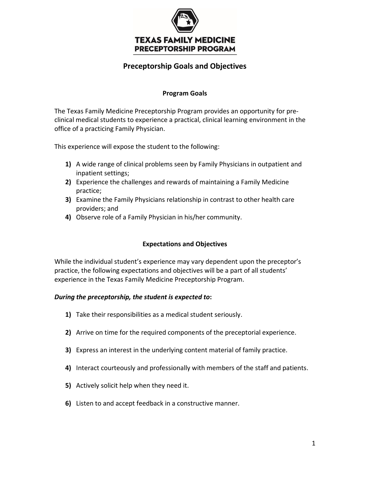

# **Preceptorship Goals and Objectives**

### **Program Goals**

The Texas Family Medicine Preceptorship Program provides an opportunity for preclinical medical students to experience a practical, clinical learning environment in the office of a practicing Family Physician.

This experience will expose the student to the following:

- **1)** A wide range of clinical problems seen by Family Physicians in outpatient and inpatient settings;
- **2)** Experience the challenges and rewards of maintaining a Family Medicine practice;
- **3)** Examine the Family Physicians relationship in contrast to other health care providers; and
- **4)** Observe role of a Family Physician in his/her community.

## **Expectations and Objectives**

While the individual student's experience may vary dependent upon the preceptor's practice, the following expectations and objectives will be a part of all students' experience in the Texas Family Medicine Preceptorship Program.

### *During the preceptorship, the student is expected to***:**

- **1)** Take their responsibilities as a medical student seriously.
- **2)** Arrive on time for the required components of the preceptorial experience.
- **3)** Express an interest in the underlying content material of family practice.
- **4)** Interact courteously and professionally with members of the staff and patients.
- **5)** Actively solicit help when they need it.
- **6)** Listen to and accept feedback in a constructive manner.